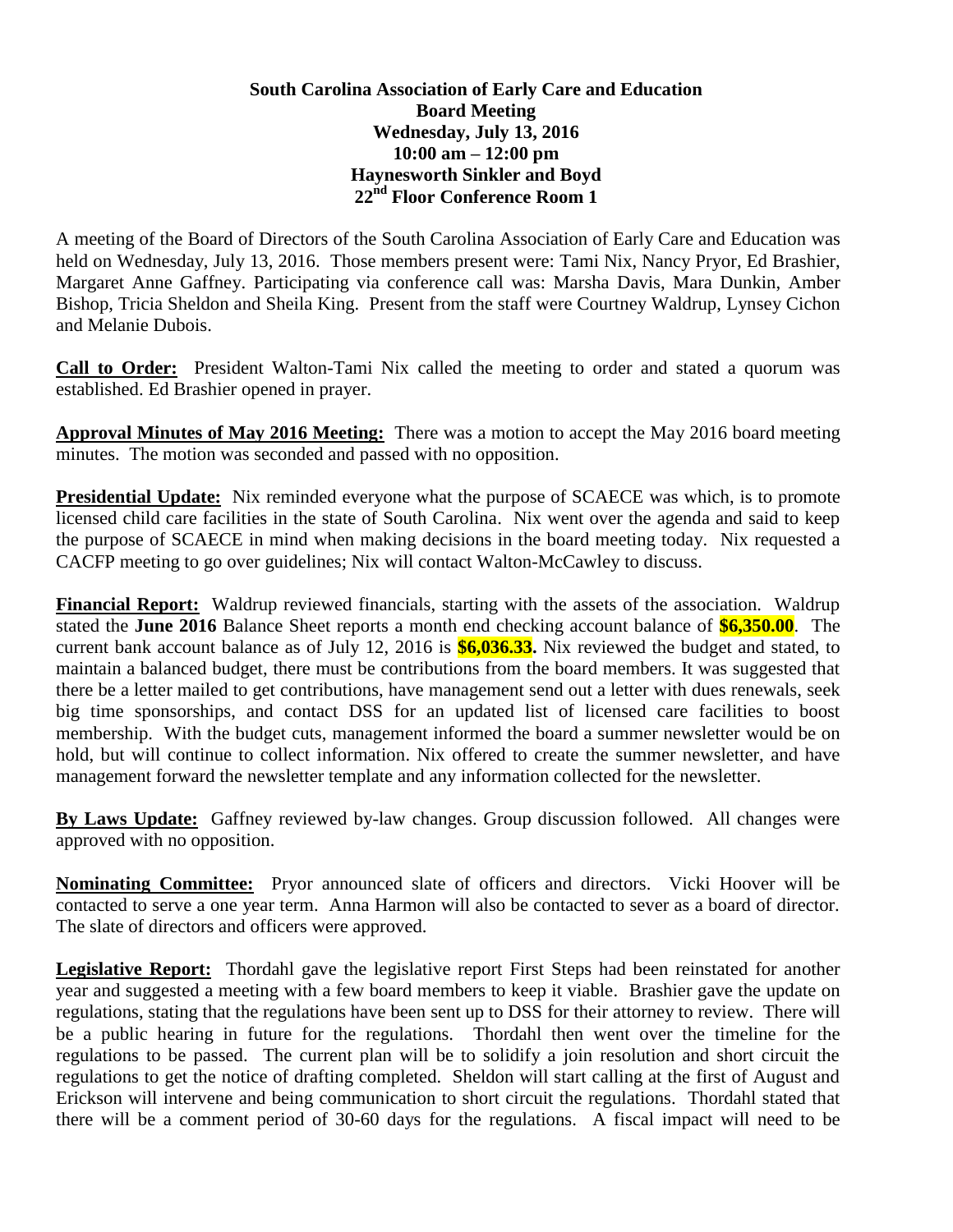## **South Carolina Association of Early Care and Education Board Meeting Wednesday, July 13, 2016 10:00 am – 12:00 pm Haynesworth Sinkler and Boyd 22nd Floor Conference Room 1**

A meeting of the Board of Directors of the South Carolina Association of Early Care and Education was held on Wednesday, July 13, 2016. Those members present were: Tami Nix, Nancy Pryor, Ed Brashier, Margaret Anne Gaffney. Participating via conference call was: Marsha Davis, Mara Dunkin, Amber Bishop, Tricia Sheldon and Sheila King. Present from the staff were Courtney Waldrup, Lynsey Cichon and Melanie Dubois.

**Call to Order:** President Walton-Tami Nix called the meeting to order and stated a quorum was established. Ed Brashier opened in prayer.

**Approval Minutes of May 2016 Meeting:** There was a motion to accept the May 2016 board meeting minutes. The motion was seconded and passed with no opposition.

**Presidential Update:** Nix reminded everyone what the purpose of SCAECE was which, is to promote licensed child care facilities in the state of South Carolina. Nix went over the agenda and said to keep the purpose of SCAECE in mind when making decisions in the board meeting today. Nix requested a CACFP meeting to go over guidelines; Nix will contact Walton-McCawley to discuss.

**Financial Report:** Waldrup reviewed financials, starting with the assets of the association. Waldrup stated the **June 2016** Balance Sheet reports a month end checking account balance of **\$6,350.00**. The current bank account balance as of July 12, 2016 is **\$6,036.33.** Nix reviewed the budget and stated, to maintain a balanced budget, there must be contributions from the board members. It was suggested that there be a letter mailed to get contributions, have management send out a letter with dues renewals, seek big time sponsorships, and contact DSS for an updated list of licensed care facilities to boost membership. With the budget cuts, management informed the board a summer newsletter would be on hold, but will continue to collect information. Nix offered to create the summer newsletter, and have management forward the newsletter template and any information collected for the newsletter.

**By Laws Update:** Gaffney reviewed by-law changes. Group discussion followed. All changes were approved with no opposition.

**Nominating Committee:** Pryor announced slate of officers and directors. Vicki Hoover will be contacted to serve a one year term. Anna Harmon will also be contacted to sever as a board of director. The slate of directors and officers were approved.

**Legislative Report:** Thordahl gave the legislative report First Steps had been reinstated for another year and suggested a meeting with a few board members to keep it viable. Brashier gave the update on regulations, stating that the regulations have been sent up to DSS for their attorney to review. There will be a public hearing in future for the regulations. Thordahl then went over the timeline for the regulations to be passed. The current plan will be to solidify a join resolution and short circuit the regulations to get the notice of drafting completed. Sheldon will start calling at the first of August and Erickson will intervene and being communication to short circuit the regulations. Thordahl stated that there will be a comment period of 30-60 days for the regulations. A fiscal impact will need to be